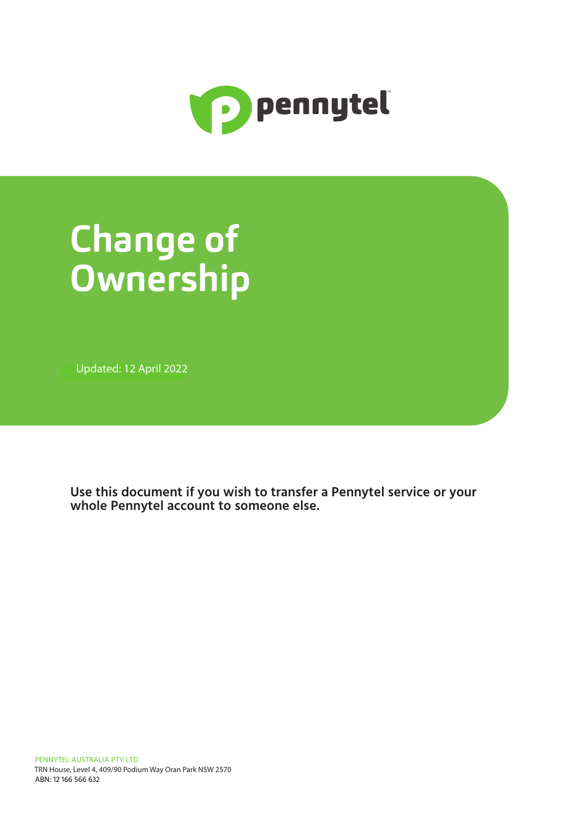

# **Change of Ownership**

Updated: 12 April 2022

**Use this document if you wish to transfer a Pennytel service or your whole Pennytel account to someone else.**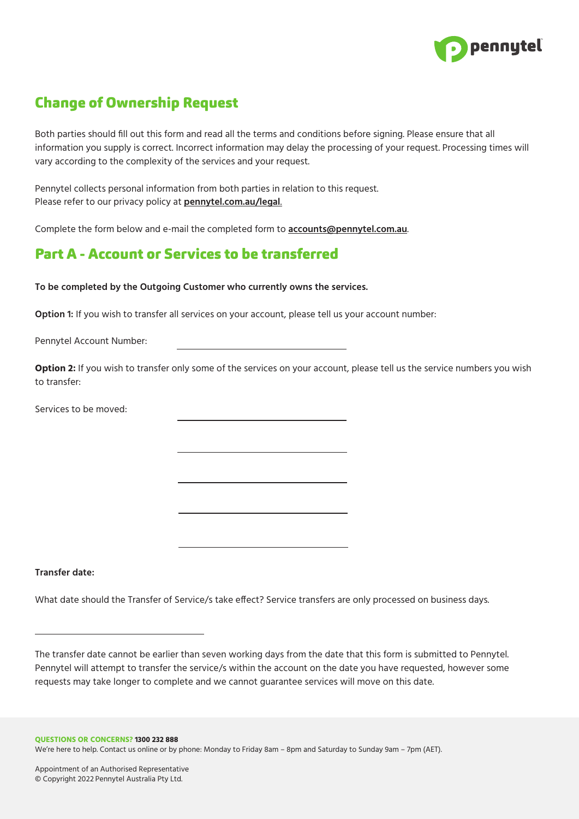

## Change of Ownership Request

Both parties should fill out this form and read all the terms and conditions before signing. Please ensure that all information you supply is correct. Incorrect information may delay the processing of your request. Processing times will vary according to the complexity of the services and your request.

Pennytel collects personal information from both parties in relation to this request. Please refer to our privacy policy at **pennytel.com.au/legal**.

Complete the form below and e-mail the completed form to **accounts@pennytel.com.au**.

### Part A - Account or Services to be transferred

#### **To be completed by the Outgoing Customer who currently owns the services.**

**Option 1:** If you wish to transfer all services on your account, please tell us your account number:

Pennytel Account Number:

**Option 2:** If you wish to transfer only some of the services on your account, please tell us the service numbers you wish to transfer:

Services to be moved:

**Transfer date:**

What date should the Transfer of Service/s take effect? Service transfers are only processed on business days.

The transfer date cannot be earlier than seven working days from the date that this form is submitted to Pennytel. Pennytel will attempt to transfer the service/s within the account on the date you have requested, however some requests may take longer to complete and we cannot guarantee services will move on this date.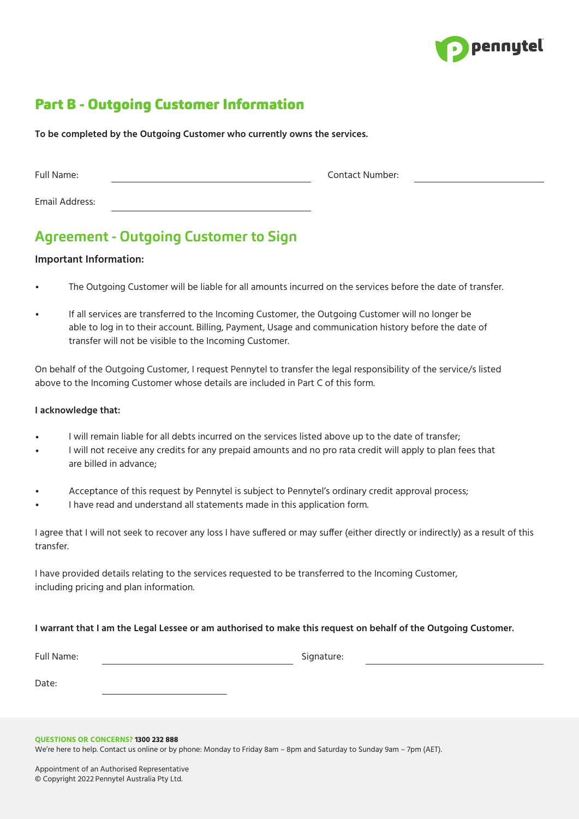

## Part B - Outgoing Customer Information

**To be completed by the Outgoing Customer who currently owns the services.**

| Full Name:     | <b>Contact Number:</b> |
|----------------|------------------------|
| Email Address: |                        |

## **Agreement - Outgoing Customer to Sign**

#### **Important Information:**

- The Outgoing Customer will be liable for all amounts incurred on the services before the date of transfer.
- If all services are transferred to the Incoming Customer, the Outgoing Customer will no longer be able to log in to their account. Billing, Payment, Usage and communication history before the date of transfer will not be visible to the Incoming Customer.

On behalf of the Outgoing Customer, I request Pennytel to transfer the legal responsibility of the service/s listed above to the Incoming Customer whose details are included in Part C of this form.

#### **I acknowledge that:**

- I will remain liable for all debts incurred on the services listed above up to the date of transfer;
- I will not receive any credits for any prepaid amounts and no pro rata credit will apply to plan fees that are billed in advance;
- Acceptance of this request by Pennytel is subject to Pennytel's ordinary credit approval process;
- I have read and understand all statements made in this application form.

I agree that I will not seek to recover any loss I have suffered or may suffer (either directly or indirectly) as a result of this transfer.

I have provided details relating to the services requested to be transferred to the Incoming Customer, including pricing and plan information.

#### **I warrant that I am the Legal Lessee or am authorised to make this request on behalf of the Outgoing Customer.**

| Full Name: | Signature: |
|------------|------------|
| Date:      |            |

**QUESTIONS OR CONCERNS? 1300 232 888** We're here to help. Contact us online or by phone: Monday to Friday 8am – 8pm and Saturday to Sunday 9am – 7pm (AET).

Appointment of an Authorised Representative © Copyright 2022 Pennytel Australia Pty Ltd.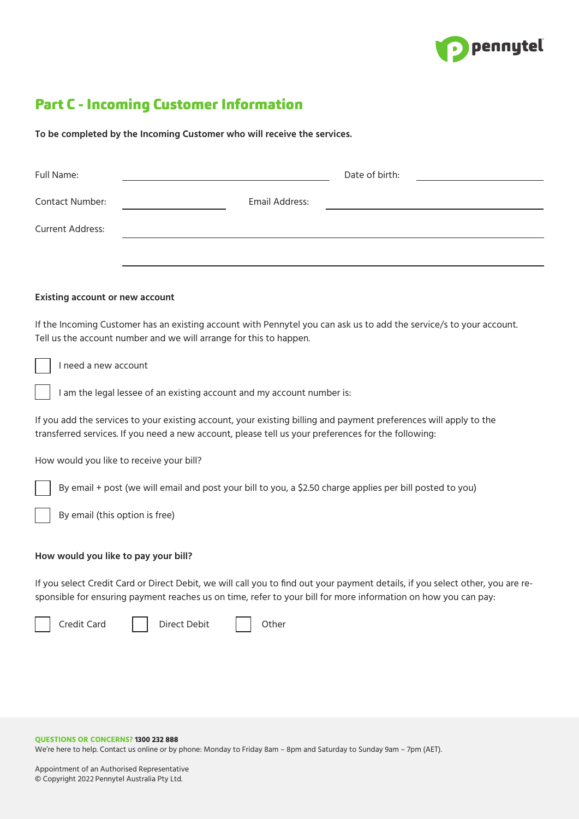

## Part C - Incoming Customer Information

**To be completed by the Incoming Customer who will receive the services.**

| Full Name:              |                | Date of birth: |  |
|-------------------------|----------------|----------------|--|
| <b>Contact Number:</b>  | Email Address: |                |  |
| <b>Current Address:</b> |                |                |  |
|                         |                |                |  |
|                         |                |                |  |

#### **Existing account or new account**

If the Incoming Customer has an existing account with Pennytel you can ask us to add the service/s to your account. Tell us the account number and we will arrange for this to happen.

I need a new account

I am the legal lessee of an existing account and my account number is:

If you add the services to your existing account, your existing billing and payment preferences will apply to the transferred services. If you need a new account, please tell us your preferences for the following:

How would you like to receive your bill?

By email + post (we will email and post your bill to you, a \$2.50 charge applies per bill posted to you)

By email (this option is free)

#### **How would you like to pay your bill?**

If you select Credit Card or Direct Debit, we will call you to find out your payment details, if you select other, you are responsible for ensuring payment reaches us on time, refer to your bill for more information on how you can pay:

Credit Card | | Direct Debit | | Other

**QUESTIONS OR CONCERNS? 1300 232 888** We're here to help. Contact us online or by phone: Monday to Friday 8am – 8pm and Saturday to Sunday 9am – 7pm (AET).

Appointment of an Authorised Representative © Copyright 2022 Pennytel Australia Pty Ltd.